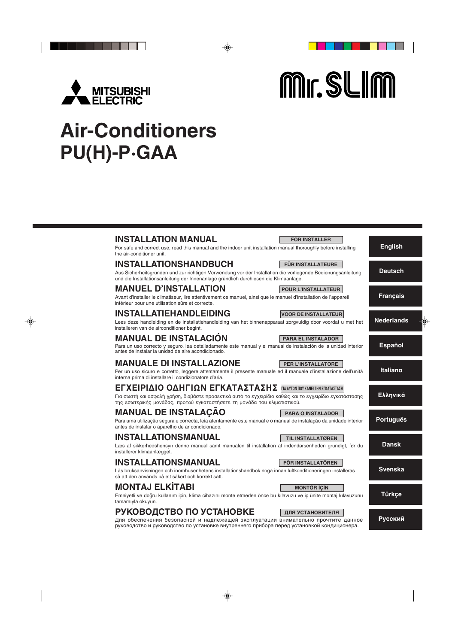

Mr. SLIM

# **Air-Conditioners PU(H)-P·GAA**

#### **English Deutsch Français Nederlands Español Italiano Ελληνικά Português Dansk Svenska Türkçe INSTALLATION MANUAL** For safe and correct use, read this manual and the indoor unit installation manual thoroughly before installing the air-conditioner unit. **INSTALLATIONSHANDBUCH** Aus Sicherheitsgründen und zur richtigen Verwendung vor der Installation die vorliegende Bedienungsanleitung und die Installationsanleitung der Innenanlage gründlich durchlesen die Klimaanlage. **MANUEL D'INSTALLATION** Avant d'installer le climatiseur, lire attentivement ce manuel, ainsi que le manuel d'installation de l'appareil intérieur pour une utilisation sûre et correcte. **INSTALLATIONSMANUAL** Läs bruksanvisningen och inomhusenhetens installationshandbok noga innan luftkonditioneringen installeras så att den används på ett säkert och korrekt sätt. **INSTALLATIEHANDLEIDING** Lees deze handleiding en de installatiehandleiding van het binnenapparaat zorgvuldig door voordat u met het installeren van de airconditioner begint. **MANUALE DI INSTALLAZIONE** Per un uso sicuro e corretto, leggere attentamente il presente manuale ed il manuale d'installazione dell'unità interna prima di installare il condizionatore d'aria. **MANUAL DE INSTALACIÓN** Para un uso correcto y seguro, lea detalladamente este manual y el manual de instalación de la unidad interior antes de instalar la unidad de aire acondicionado. EΓΧΕΙΡΙΔΙΟ ΟΔΗΓΙΩΝ ΕΓΚΑΤΑΣΤΑΣΗΣ **ΓΙΑΑΥΤΟΝ ΠΟΥ ΚΑΝΕΙ ΤΗΝ ΕΓΚΑΤΑΣΤΑΣΗ** Για σωστή και ασφαλή χρήση, διαβάστε προσεκτικά αυτό το εγχειρίδιο καθώς και το εγχειρίδιο εγκατάστασης της εσωτερικής μονάδας, προτού εγκαταστήσετε τη μονάδα του κλιματιστικού. **MANUAL DE INSTALAÇÃO** Para uma utilização segura e correcta, leia atentamente este manual e o manual de instalação da unidade interior antes de instalar o aparelho de ar condicionado. **INSTALLATIONSMANUAL** Læs af sikkerhedshensyn denne manual samt manualen til installation af indendørsenheden grundigt, før du installerer klimaanlægget. **MONTAJ ELK‹TABI** Emniyetli ve doğru kullanım için, klima cihazını monte etmeden önce bu kılavuzu ve iç ünite montaj kılavuzunu tamamıyla okuyun. **FOR INSTALLER FÜR INSTALLATEURE POUR L'INSTALLATEUR FÖR INSTALLATÖREN VOOR DE INSTALLATEUR PER L'INSTALLATORE PARA EL INSTALADOR PARA O INSTALADOR TIL INSTALLATØREN MONTÖR İCİN**

руководство и руководство по установке внутреннего прибора перед установкой кондиционера.

# **РУКОВОДСТВО ПО УСТАНОВКЕ**

Для обеспечения безопасной и надлежащей эксплуатации внимательно прочтите данное **ДЛЯ УСТАНОВИТЕЛЯ**

**Русский**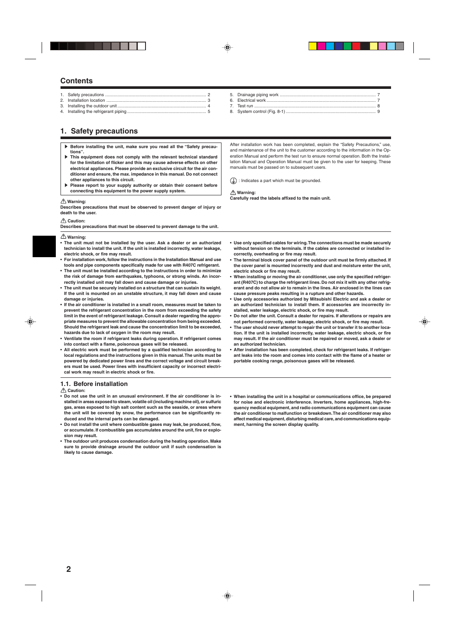# **Contents**

# **1. Safety precautions**

- **Before installing the unit, make sure you read all the "Safety precautions".**
- s **This equipment does not comply with the relevant technical standard for the limitation of flicker and this may cause adverse effects on other electrical appliances. Please provide an exclusive circuit for the air conditioner and ensure, the max. impedance in this manual. Do not connect other appliances to this circuit.**
- Please report to your supply authority or obtain their consent before **connecting this equipment to the power supply system.**

#### **Warning:**

**Describes precautions that must be observed to prevent danger of injury or death to the user.**

#### **Caution:**

**Describes precautions that must be observed to prevent damage to the unit.**

#### **Warning:**

- **The unit must not be installed by the user. Ask a dealer or an authorized technician to install the unit. If the unit is installed incorrectly, water leakage, electric shock, or fire may result.**
- **For installation work, follow the instructions in the Installation Manual and use tools and pipe components specifically made for use with R407C refrigerant.**
- **The unit must be installed according to the instructions in order to minimize the risk of damage from earthquakes, typhoons, or strong winds. An incorrectly installed unit may fall down and cause damage or injuries.**
- **The unit must be securely installed on a structure that can sustain its weight. If the unit is mounted on an unstable structure, it may fall down and cause damage or injuries.**
- **If the air conditioner is installed in a small room, measures must be taken to prevent the refrigerant concentration in the room from exceeding the safety limit in the event of refrigerant leakage. Consult a dealer regarding the appropriate measures to prevent the allowable concentration from being exceeded. Should the refrigerant leak and cause the concentration limit to be exceeded, hazards due to lack of oxygen in the room may result.**
- **Ventilate the room if refrigerant leaks during operation. If refrigerant comes into contact with a flame, poisonous gases will be released.**
- **All electric work must be performed by a qualified technician according to local regulations and the instructions given in this manual. The units must be powered by dedicated power lines and the correct voltage and circuit breakers must be used. Power lines with insufficient capacity or incorrect electrical work may result in electric shock or fire.**

## **1.1. Before installation**

 **Caution:**

- **Do not use the unit in an unusual environment. If the air conditioner is installed in areas exposed to steam, volatile oil (including machine oil), or sulfuric gas, areas exposed to high salt content such as the seaside, or areas where the unit will be covered by snow, the performance can be significantly reduced and the internal parts can be damaged.**
- **Do not install the unit where combustible gases may leak, be produced, flow, or accumulate. If combustible gas accumulates around the unit, fire or explosion may result.**
- **The outdoor unit produces condensation during the heating operation. Make sure to provide drainage around the outdoor unit if such condensation is likely to cause damage.**

After installation work has been completed, explain the "Safety Precautions," use, and maintenance of the unit to the customer according to the information in the Operation Manual and perform the test run to ensure normal operation. Both the Installation Manual and Operation Manual must be given to the user for keeping. These manuals must be passed on to subsequent users.

 $\left(\frac{\Gamma}{\Gamma}\right)$ : Indicates a part which must be grounded.

 **Warning: Carefully read the labels affixed to the main unit.**

- **Use only specified cables for wiring. The connections must be made securely without tension on the terminals. If the cables are connected or installed incorrectly, overheating or fire may result.**
- **The terminal block cover panel of the outdoor unit must be firmly attached. If the cover panel is mounted incorrectly and dust and moisture enter the unit, electric shock or fire may result.**
- **When installing or moving the air conditioner, use only the specified refrigerant (R407C) to charge the refrigerant lines. Do not mix it with any other refrigerant and do not allow air to remain in the lines. Air enclosed in the lines can cause pressure peaks resulting in a rupture and other hazards.**
- **Use only accessories authorized by Mitsubishi Electric and ask a dealer or an authorized technician to install them. If accessories are incorrectly installed, water leakage, electric shock, or fire may result.**
- **Do not alter the unit. Consult a dealer for repairs. If alterations or repairs are not performed correctly, water leakage, electric shock, or fire may result.**
- **The user should never attempt to repair the unit or transfer it to another location. If the unit is installed incorrectly, water leakage, electric shock, or fire may result. If the air conditioner must be repaired or moved, ask a dealer or an authorized technician.**
- **After installation has been completed, check for refrigerant leaks. If refrigerant leaks into the room and comes into contact with the flame of a heater or portable cooking range, poisonous gases will be released.**
- **When installing the unit in a hospital or communications office, be prepared for noise and electronic interference. Inverters, home appliances, high-frequency medical equipment, and radio communications equipment can cause the air conditioner to malfunction or breakdown. The air conditioner may also affect medical equipment, disturbing medical care, and communications equipment, harming the screen display quality.**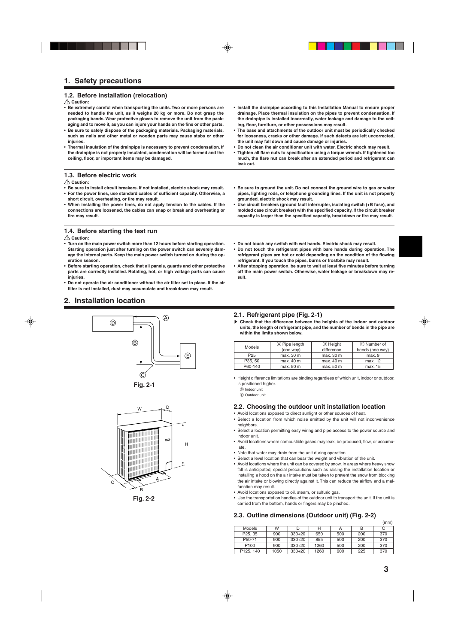## **1.2. Before installation (relocation)**

#### **Caution:**

- **• Be extremely careful when transporting the units. Two or more persons are needed to handle the unit, as it weighs 20 kg or more. Do not grasp the packaging bands. Wear protective gloves to remove the unit from the packaging and to move it, as you can injure your hands on the fins or other parts.**
- **• Be sure to safely dispose of the packaging materials. Packaging materials, such as nails and other metal or wooden parts may cause stabs or other injuries.**
- **• Thermal insulation of the drainpipe is necessary to prevent condensation. If the drainpipe is not properly insulated, condensation will be formed and the ceiling, floor, or important items may be damaged.**

#### **1.3. Before electric work**

 **Caution:**

- **• Be sure to install circuit breakers. If not installed, electric shock may result. • For the power lines, use standard cables of sufficient capacity. Otherwise, a short circuit, overheating, or fire may result.**
- **• When installing the power lines, do not apply tension to the cables. If the connections are loosened, the cables can snap or break and overheating or fire may result.**
- **1.4. Before starting the test run**

#### **Caution:**

- **• Turn on the main power switch more than 12 hours before starting operation. Starting operation just after turning on the power switch can severely damage the internal parts. Keep the main power switch turned on during the operation season.**
- **• Before starting operation, check that all panels, guards and other protective parts are correctly installed. Rotating, hot, or high voltage parts can cause injuries.**
- **• Do not operate the air conditioner without the air filter set in place. If the air filter is not installed, dust may accumulate and breakdown may result.**

# **2. Installation location**







**Fig. 2-2**

- **• Install the drainpipe according to this Installation Manual to ensure proper drainage. Place thermal insulation on the pipes to prevent condensation. If the drainpipe is installed incorrectly, water leakage and damage to the ceiling, floor, furniture, or other possessions may result.**
- **• The base and attachments of the outdoor unit must be periodically checked for looseness, cracks or other damage. If such defects are left uncorrected, the unit may fall down and cause damage or injuries.**
- **• Do not clean the air conditioner unit with water. Electric shock may result.**
- **• Tighten all flare nuts to specification using a torque wrench. If tightened too much, the flare nut can break after an extended period and refrigerant can leak out.**
- **• Be sure to ground the unit. Do not connect the ground wire to gas or water pipes, lighting rods, or telephone grounding lines. If the unit is not properly grounded, electric shock may result.**
- **• Use circuit breakers (ground fault interrupter, isolating switch (+B fuse), and molded case circuit breaker) with the specified capacity. If the circuit breaker capacity is larger than the specified capacity, breakdown or fire may result.**
- **• Do not touch any switch with wet hands. Electric shock may result.**
- **• Do not touch the refrigerant pipes with bare hands during operation. The refrigerant pipes are hot or cold depending on the condition of the flowing refrigerant. If you touch the pipes, burns or frostbite may result.**
- **• After stopping operation, be sure to wait at least five minutes before turning off the main power switch. Otherwise, water leakage or breakdown may result.**

## **2.1. Refrigerant pipe (Fig. 2-1)**

s **Check that the difference between the heights of the indoor and outdoor units, the length of refrigerant pipe, and the number of bends in the pipe are within the limits shown below.**

| Models          | A Pipe length | <b>B</b> Height | © Number of     |
|-----------------|---------------|-----------------|-----------------|
|                 | (one way)     | difference      | bends (one way) |
| P <sub>25</sub> | max. 30 m     | max. 30 m       | max.9           |
| P35.50          | max. 40 m     | max. 40 m       | max. 12         |
| P60-140         | max. 50 m     | max. 50 m       | max. 15         |

- Height difference limitations are binding regardless of which unit, indoor or outdoor, is positioned higher.
	- D Indoor unit
	- E Outdoor unit

## **2.2. Choosing the outdoor unit installation location**

- Avoid locations exposed to direct sunlight or other sources of heat.
- Select a location from which noise emitted by the unit will not inconvenience neighbors.
- Select a location permitting easy wiring and pipe access to the power source and indoor unit.
- Avoid locations where combustible gases may leak, be produced, flow, or accumulate.
- Note that water may drain from the unit during operation.
- Select a level location that can bear the weight and vibration of the unit.
- Avoid locations where the unit can be covered by snow. In areas where heavy snow fall is anticipated, special precautions such as raising the installation location or installing a hood on the air intake must be taken to prevent the snow from blocking the air intake or blowing directly against it. This can reduce the airflow and a malfunction may result.
- Avoid locations exposed to oil, steam, or sulfuric gas.
- Use the transportation handles of the outdoor unit to transport the unit. If the unit is carried from the bottom, hands or fingers may be pinched.

## **2.3. Outline dimensions (Outdoor unit) (Fig. 2-2)**

|                      |      |          |      |     |     | (mm) |
|----------------------|------|----------|------|-----|-----|------|
| Models               | W    | D        | н    | А   | в   | С    |
| P <sub>25</sub> , 35 | 900  | $330+20$ | 650  | 500 | 200 | 370  |
| P50-71               | 900  | $330+20$ | 855  | 500 | 200 | 370  |
| P <sub>100</sub>     | 900  | $330+20$ | 1260 | 500 | 200 | 370  |
| P125, 140            | 1050 | $330+20$ | 1260 | 600 | 225 | 370  |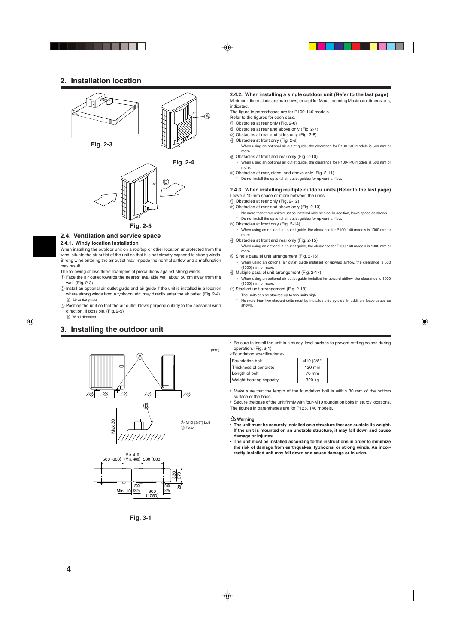# **2. Installation location**



## **2.4. Ventilation and service space**

#### **2.4.1. Windy location installation**

When installing the outdoor unit on a rooftop or other location unprotected from the wind, situate the air outlet of the unit so that it is not directly exposed to strong winds. Strong wind entering the air outlet may impede the normal airflow and a malfunction may result.

The following shows three examples of precautions against strong winds.

- 1 Face the air outlet towards the nearest available wall about 50 cm away from the wall. (Fig. 2-3)
- 2 Install an optional air outlet guide and air guide if the unit is installed in a location where strong winds from a typhoon, etc. may directly enter the air outlet. (Fig. 2-4) A Air outlet guide
- 3 Position the unit so that the air outlet blows perpendicularly to the seasonal wind direction, if possible. (Fig. 2-5)

#### B Wind direction

# **3. Installing the outdoor unit**





**Fig. 3-1**

#### **2.4.2. When installing a single outdoor unit (Refer to the last page)** Minimum dimensions are as follows, except for Max., meaning Maximum dimensions, indicated.

The figure in parentheses are for P100-140 models.

- Refer to the figures for each case.
- 1 Obstacles at rear only (Fig. 2-6)
- 2 Obstacles at rear and above only (Fig. 2-7)
- 3 Obstacles at rear and sides only (Fig. 2-8)
- 4 Obstacles at front only (Fig. 2-9)
- When using an optional air outlet guide, the clearance for P100-140 models is 500 mm or more.
- 5 Obstacles at front and rear only (Fig. 2-10)
- ∗ When using an optional air outlet guide, the clearance for P100-140 models is 500 mm or more
- 6 Obstacles at rear, sides, and above only (Fig. 2-11)
	- Do not install the optional air outlet guides for upward airflow.

#### **2.4.3. When installing multiple outdoor units (Refer to the last page)** Leave a 10 mm space or more between the units.

- 1 Obstacles at rear only (Fig. 2-12)
- 2 Obstacles at rear and above only (Fig. 2-13)
	- No more than three units must be installed side by side. In addition, leave space as shown.
	- Do not install the optional air outlet guides for upward airflow.
- 3 Obstacles at front only (Fig. 2-14)
	- When using an optional air outlet guide, the clearance for P100-140 models is 1000 mm or more
- 4 Obstacles at front and rear only (Fig. 2-15)
	- ∗ When using an optional air outlet guide, the clearance for P100-140 models is 1000 mm or more
- 5 Single parallel unit arrangement (Fig. 2-16)
- When using an optional air outlet guide installed for upward airflow, the clearance is 500 (1000) mm or more.
- 6 Multiple parallel unit arrangement (Fig. 2-17)
- When using an optional air outlet guide installed for upward airflow, the clearance is 1000 (1500) mm or more.

7 Stacked unit arrangement (Fig. 2-18)

- The units can be stacked up to two units high.
- No more than two stacked units must be installed side by side. In addition, leave space as shown.
- Be sure to install the unit in a sturdy, level surface to prevent rattling noises during operation. (Fig. 3-1)

<Foundation specifications>

(mm)

| Foundation bolt         | M10 (3/8")       |
|-------------------------|------------------|
| Thickness of concrete   | $120 \text{ mm}$ |
| Length of bolt          | 70 mm            |
| Weight-bearing capacity | 320 kg           |

• Make sure that the length of the foundation bolt is within 30 mm of the bottom surface of the base.

• Secure the base of the unit firmly with four-M10 foundation bolts in sturdy locations. The figures in parentheses are for P125, 140 models.

#### **Warning:**

- **• The unit must be securely installed on a structure that can sustain its weight. If the unit is mounted on an unstable structure, it may fall down and cause damage or injuries.**
- **• The unit must be installed according to the instructions in order to minimize the risk of damage from earthquakes, typhoons, or strong winds. An incorrectly installed unit may fall down and cause damage or injuries.**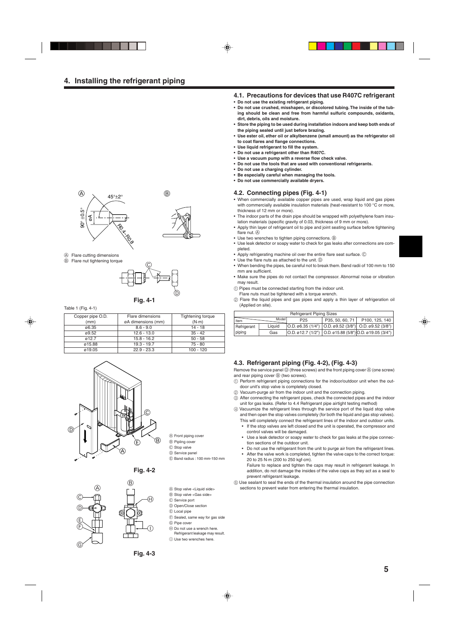

- A Flare cutting dimensions
	-



 $^\copyright$ 

**Fig. 4-1**

| Copper pipe O.D. | Flare dimensions   | Tightening torque |
|------------------|--------------------|-------------------|
| (mm)             | øA dimensions (mm) | $(N \cdot m)$     |
| ø6.35            | $8.6 - 9.0$        | $14 - 18$         |
| ø9.52            | $12.6 - 13.0$      | $35 - 42$         |
| 012.7            | $15.8 - 16.2$      | $50 - 58$         |
| ø15.88           | $19.3 - 19.7$      | 75 - 80           |
| ø19.05           | $22.9 - 23.3$      | $100 - 120$       |







- A Stop valve <Liquid side>
- B Stop valve <Gas side>

A Front piping cover B Pipling cover C Stop valve D Service panel

- C Service port
- D Open/Close section
- E Local pipe
- F Sealed, same way for gas side

E Band radius : 100 mm-150 mm

- G Pipe cover
- 
- H Do not use a wrench here. Refrigerant leakage may result.
- $\circledR$  Use two wrenches here.

**4.1. Precautions for devices that use R407C refrigerant**

- **• Do not use the existing refrigerant piping.**
- **• Do not use crushed, misshapen, or discolored tubing. The inside of the tubing should be clean and free from harmful sulfuric compounds, oxidants, dirt, debris, oils and moisture.**
- **• Store the piping to be used during installation indoors and keep both ends of the piping sealed until just before brazing.**
- **• Use ester oil, ether oil or alkylbenzene (small amount) as the refrigerator oil to coat flares and flange connections.**
- **• Use liquid refrigerant to fill the system.**
- **• Do not use a refrigerant other than R407C.**
- **• Use a vacuum pump with a reverse flow check valve.**
- **• Do not use the tools that are used with conventional refrigerants.**
- **• Do not use a charging cylinder.**
- **• Be especially careful when managing the tools.**
- **• Do not use commercially available dryers.**

#### **4.2. Connecting pipes (Fig. 4-1)**

- When commercially available copper pipes are used, wrap liquid and gas pipes with commercially available insulation materials (heat-resistant to 100 °C or more, thickness of 12 mm or more).
- The indoor parts of the drain pipe should be wrapped with polyethylene foam insulation materials (specific gravity of 0.03, thickness of 9 mm or more).
- Apply thin layer of refrigerant oil to pipe and joint seating surface before tightening flare nut.  $(A)$
- Use two wrenches to tighten piping connections.  $\circledB$
- Use leak detector or soapy water to check for gas leaks after connections are completed.
- Apply refrigerating machine oil over the entire flare seat surface. C
- Use the flare nuts as attached to the unit.  $\circledD$
- When bending the pipes, be careful not to break them. Bend radii of 100 mm to 150 mm are sufficient.
- Make sure the pipes do not contact the compressor. Abnormal noise or vibration may result.
- 1 Pipes must be connected starting from the indoor unit.
- Flare nuts must be tightened with a torque wrench.
- 2 Flare the liquid pipes and gas pipes and apply a thin layer of refrigeration oil Table 1 (Fig. 4-1) **S** CONSERVANT CONSERVANT CONSERVANT CONSERVANT CONSERVANT CONSERVANT CONSERVANT CONSERVANT CONSERVANT CONSERVANT CONSERVANT CONSERVANT CONSERVANT CONSERVANT CONSERVANT CONSERVANT CONSERVANT CONSERVANT C

| <b>Refrigerant Piping Sizes</b> |        |                 |  |                                                                                             |  |  |  |  |
|---------------------------------|--------|-----------------|--|---------------------------------------------------------------------------------------------|--|--|--|--|
| Item                            | Model  | P <sub>25</sub> |  | P35, 50, 60, 71   P100, 125, 140                                                            |  |  |  |  |
| Refrigerant                     | Liauid |                 |  | $ O.D. \emptyset 6.35 (1/4")   O.D. \emptyset 9.52 (3/8")   O.D. \emptyset 9.52 (3/8")  $   |  |  |  |  |
| piping                          | Gas    |                 |  | $ O.D. \emptyset$ 12.7 (1/2") $ O.D. \emptyset$ 15.88 (5/8") $ O.D. \emptyset$ 19.05 (3/4") |  |  |  |  |

## **4.3. Refrigerant piping (Fig. 4-2), (Fig. 4-3)**

Remove the service panel  $\mathbb D$  (three screws) and the front piping cover  $\mathbb \Theta$  (one screw) and rear piping cover  $\circledB$  (two screws).

- 1 Perform refrigerant piping connections for the indoor/outdoor unit when the outdoor unit's stop valve is completely closed.
- 2 Vacuum-purge air from the indoor unit and the connection piping.
- 3 After connecting the refrigerant pipes, check the connected pipes and the indoor unit for gas leaks. (Refer to 4.4 Refrigerant pipe airtight testing method)
- 4 Vacuumize the refrigerant lines through the service port of the liquid stop valve and then open the stop valves completely (for both the liquid and gas stop valves).
	- This will completely connect the refrigerant lines of the indoor and outdoor units. If the stop valves are left closed and the unit is operated, the compressor and
	- control valves will be damaged. • Use a leak detector or soapy water to check for gas leaks at the pipe connec-
	- tion sections of the outdoor unit.
	- Do not use the refrigerant from the unit to purge air from the refrigerant lines. After the valve work is completed, tighten the valve caps to the correct torque: 20 to 25 N·m (200 to 250 kgf·cm).
	- Failure to replace and tighten the caps may result in refrigerant leakage. In addition, do not damage the insides of the valve caps as they act as a seal to prevent refrigerant leakage.
- 5 Use sealant to seal the ends of the thermal insulation around the pipe connection sections to prevent water from entering the thermal insulation.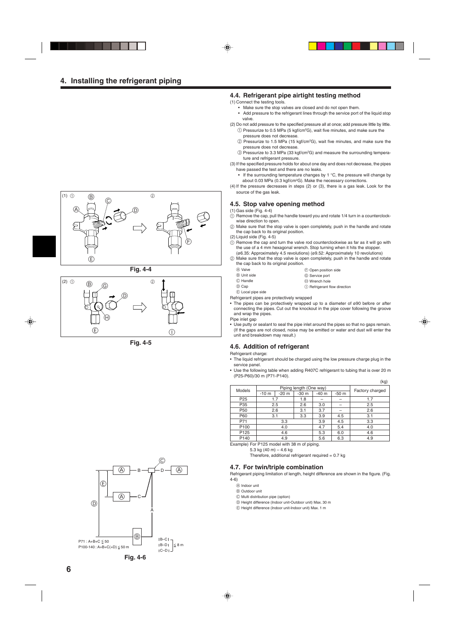

**Fig. 4-4**



**Fig. 4-5**



## **4.4. Refrigerant pipe airtight testing method**

- (1) Connect the testing tools.
	- Make sure the stop valves are closed and do not open them.
	- Add pressure to the refrigerant lines through the service port of the liquid stop valve.
- (2) Do not add pressure to the specified pressure all at once; add pressure little by little.  $\left(\right)$  Pressurize to 0.5 MPa (5 kgf/cm $^{2}$ G), wait five minutes, and make sure the pressure does not decrease.
	- 2 Pressurize to 1.5 MPa (15 kgf/cm2 G), wait five minutes, and make sure the pressure does not decrease.
	- 3 Pressurize to 3.3 MPa (33 kgf/cm2 G) and measure the surrounding temperature and refrigerant pressure.
- (3) If the specified pressure holds for about one day and does not decrease, the pipes have passed the test and there are no leaks.
- If the surrounding temperature changes by 1  $^{\circ}$ C, the pressure will change by about 0.03 MPa (0.3 kgf/cm2 G). Make the necessary corrections.
- (4) If the pressure decreases in steps (2) or (3), there is a gas leak. Look for the source of the gas leak.

## **4.5. Stop valve opening method**

- (1) Gas side (Fig. 4-4)
- $\overline{10}$  Remove the cap, pull the handle toward you and rotate 1/4 turn in a counterclockwise direction to open.
- 2 Make sure that the stop valve is open completely, push in the handle and rotate the cap back to its original position.
- (2) Liquid side (Fig. 4-5)
- $\alpha$  Remove the cap and turn the valve rod counterclockwise as far as it will go with the use of a 4 mm hexagonal wrench. Stop turning when it hits the stopper. (ø6.35: Approximately 4.5 revolutions) (ø9.52: Approximately 10 revolutions)
- 2 Make sure that the stop valve is open completely, push in the handle and rotate the cap back to its original position.

| and day pack to no chquical poontour |                              |
|--------------------------------------|------------------------------|
| (A) Valve                            | (F) Open position side       |
| (B) Unit side                        | © Service port               |
| C Handle                             | H Wrench hole                |
| (D) Can                              | ∩ Refrigerant flow direction |

D Cap E Local pipe side

Refrigerant pipes are protectively wrapped

• The pipes can be protectively wrapped up to a diameter of ø90 before or after connecting the pipes. Cut out the knockout in the pipe cover following the groove and wrap the pipes.

Pipe inlet gap

• Use putty or sealant to seal the pipe inlet around the pipes so that no gaps remain. (If the gaps are not closed, noise may be emitted or water and dust will enter the unit and breakdown may result.)

## **4.6. Addition of refrigerant**

Refrigerant charge:

- The liquid refrigerant should be charged using the low pressure charge plug in the service panel.
- Use the following table when adding R407C refrigerant to tubing that is over 20 m (P25-P60)/30 m (P71-P140).

 $(k<sub>g</sub>)$ 

| שיי)             |        |                         |        |        |        |                 |  |  |  |
|------------------|--------|-------------------------|--------|--------|--------|-----------------|--|--|--|
| Models           |        | Piping length (One way) |        |        |        |                 |  |  |  |
|                  | $-10m$ | $-20m$                  | $-30m$ | $-40m$ | $-50m$ | Factory charged |  |  |  |
| P <sub>25</sub>  | 1.7    |                         | 1.8    |        |        | 1.7             |  |  |  |
| P35              | 2.5    |                         | 2.6    | 3.0    |        | 2.5             |  |  |  |
| P <sub>50</sub>  | 2.6    |                         | 3.1    | 3.7    |        | 2.6             |  |  |  |
| P60              | 3.1    |                         | 3.3    | 3.9    | 4.5    | 3.1             |  |  |  |
| P71              |        | 3.3                     |        | 3.9    | 4.5    | 3.3             |  |  |  |
| P <sub>100</sub> |        | 4.0                     |        | 4.7    | 5.4    | 4.0             |  |  |  |
| P <sub>125</sub> |        | 4.6                     |        | 5.3    | 6.0    | 4.6             |  |  |  |
| P <sub>140</sub> |        | 4.9                     |        | 5.6    | 6.3    | 4.9             |  |  |  |

Example) For P125 model with 38 m of piping.

5.3 kg (40 m) – 4.6 kg

Therefore, additional refrigerant required  $= 0.7$  kg

## **4.7. For twin/triple combination**

Refrigerant piping limitation of length, height difference are shown in the figure. (Fig. 4-6)

- A Indoor unit
- B Outdoor unit
- C Multi distribution pipe (option)
- D Height difference (Indoor unit-Outdoor unit) Max. 30 m
- E Height difference (Indoor unit-Indoor unit) Max. 1 m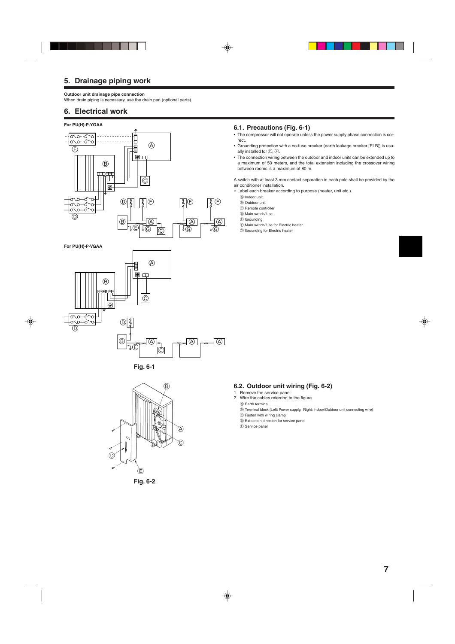# **5. Drainage piping work**

#### **Outdoor unit drainage pipe connection**

When drain piping is necessary, use the drain pan (optional parts).

## **6. Electrical work**

## **For PU(H)-P·YGAA**



**For PU(H)-P·VGAA**









## **6.1. Precautions (Fig. 6-1)**

• The compressor will not operate unless the power supply phase connection is correct.

- Grounding protection with a no-fuse breaker (earth leakage breaker [ELB]) is usually installed for  $(D, F)$ .
- The connection wiring between the outdoor and indoor units can be extended up to a maximum of 50 meters, and the total extension including the crossover wiring between rooms is a maximum of 80 m.

A switch with at least 3 mm contact separation in each pole shall be provided by the air conditioner installation.

- ∗ Label each breaker according to purpose (heater, unit etc.).
	- A Indoor unit
	- B Outdoor unit
	- C Remote controller

D Main switch/fuse

- E Grounding
- F Main switch/fuse for Electric heater
- G Grounding for Electric heater

# **6.2. Outdoor unit wiring (Fig. 6-2)**

- 1. Remove the service panel.
- 2. Wire the cables referring to the figure.
- A Earth terminal
- B Terminal block (Left: Power supply, Right: Indoor/Outdoor unit connecting wire)
- C Fasten with wiring clamp D Extraction direction for service panel
- E Service panel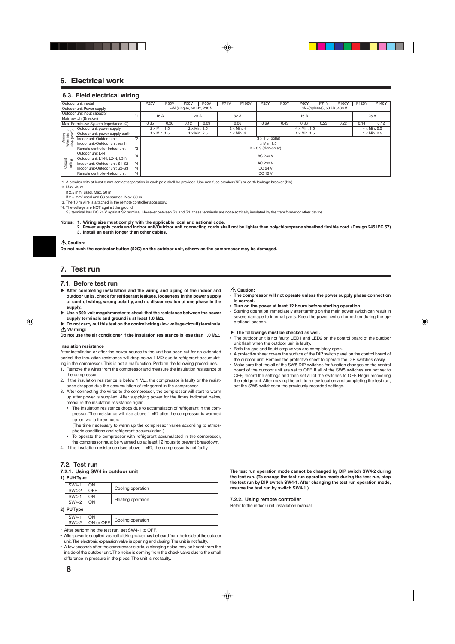## **6. Electrical work**

#### **6.3. Field electrical wiring**

| Outdoor unit model                          |         |                                                                 |                     |                                     |             |                                                                                |             |                                                   |             |                     |                     |                                    |                                    | <b>P140Y</b> |
|---------------------------------------------|---------|-----------------------------------------------------------------|---------------------|-------------------------------------|-------------|--------------------------------------------------------------------------------|-------------|---------------------------------------------------|-------------|---------------------|---------------------|------------------------------------|------------------------------------|--------------|
| Outdoor unit Power supply                   |         |                                                                 |                     |                                     |             |                                                                                |             |                                                   |             |                     |                     |                                    |                                    |              |
| Outdoor unit input capacity                 |         |                                                                 |                     |                                     |             |                                                                                |             |                                                   |             |                     |                     |                                    | 25 A                               |              |
| Main switch (Breaker)                       |         |                                                                 |                     |                                     |             |                                                                                |             |                                                   |             |                     |                     |                                    |                                    |              |
| Max. Permissive System Impedance $(\Omega)$ |         | 0.35                                                            | 0.26                | 0.12                                | 0.09        |                                                                                |             | 0.69                                              | 0.43        | 0.36                | 0.23                | 0.22                               | 0.14                               | 0.12         |
| Outdoor unit power supply                   |         | $2 \times$ Min. 1.5<br>$2 \times$ Min. 2.5<br>$2 \times$ Min. 4 |                     |                                     |             |                                                                                |             |                                                   |             | $4 \times$ Min. 2.5 |                     |                                    |                                    |              |
| Outdoor unit power supply earth             |         |                                                                 |                     |                                     |             |                                                                                |             | $1 \times$ Min. 1.5                               |             |                     |                     |                                    | $1 \times$ Min. 2.5                |              |
| Indoor unit-Outdoor unit                    | $*2$    |                                                                 |                     | $3 \times 1.5$ (polar)              |             |                                                                                |             |                                                   |             |                     |                     |                                    |                                    |              |
| Indoor unit-Outdoor unit earth              |         |                                                                 | $1 \times$ Min. 1.5 |                                     |             |                                                                                |             |                                                   |             |                     |                     |                                    |                                    |              |
| Remote controller-Indoor unit               | *3      | $2 \times 0.3$ (Non-polar)                                      |                     |                                     |             |                                                                                |             |                                                   |             |                     |                     |                                    |                                    |              |
| Outdoor unit L-N                            |         |                                                                 | AC 230 V            |                                     |             |                                                                                |             |                                                   |             |                     |                     |                                    |                                    |              |
| Outdoor unit L1-N. L2-N. L3-N               |         |                                                                 |                     |                                     |             |                                                                                |             |                                                   |             |                     |                     |                                    |                                    |              |
| Indoor unit-Outdoor unit S1-S2              | $*4$    | AC 230 V                                                        |                     |                                     |             |                                                                                |             |                                                   |             |                     |                     |                                    |                                    |              |
| Indoor unit-Outdoor unit S2-S3              | $*_{4}$ | <b>DC 24 V</b>                                                  |                     |                                     |             |                                                                                |             |                                                   |             |                     |                     |                                    |                                    |              |
| Remote controller-Indoor unit               | $*_{4}$ | <b>DC 12 V</b>                                                  |                     |                                     |             |                                                                                |             |                                                   |             |                     |                     |                                    |                                    |              |
|                                             |         | $*_{4}$                                                         | <b>P25V</b>         | P35V<br>16 A<br>$1 \times$ Min. 1.5 | <b>P50V</b> | <b>P60V</b><br>$\sim$ /N (single), 50 Hz, 230 V<br>25 A<br>$1 \times$ Min. 2.5 | <b>P71V</b> | <b>P100V</b><br>32 A<br>0.06<br>$1 \times$ Min. 4 | <b>P35Y</b> | <b>P50Y</b>         | <b>P60Y</b><br>16 A | <b>P71Y</b><br>$4 \times$ Min. 1.5 | P100Y<br>3N~(3phase), 50 Hz, 400 V | P125Y        |

\*1. A breaker with at least 3 mm contact separation in each pole shall be provided. Use non-fuse breaker (NF) or earth leakage breaker (NV).

\*2. Max. 45 m

If 2.5 mm2 used, Max. 50 m

If 2.5 mm<sup>2</sup> used and S3 separated, Max, 80 m

\*3. The 10 m wire is attached in the remote controller accessory.

\*4. The voltage are NOT against the ground.

S3 terminal has DC 24 V against S2 terminal. However between S3 and S1, these terminals are not electrically insulated by the transformer or other device.

**Notes: 1. Wiring size must comply with the applicable local and national code. 2. Power supply cords and Indoor unit/Outdoor unit connecting cords shall not be lighter than polychloroprene sheathed flexible cord. (Design 245 IEC 57) 3. Install an earth longer than other cables.**

 **Caution:**

**Do not push the contactor button (52C) on the outdoor unit, otherwise the compressor may be damaged.**

## **7. Test run**

#### **7.1. Before test run**

- s **After completing installation and the wiring and piping of the indoor and outdoor units, check for refrigerant leakage, looseness in the power supply or control wiring, wrong polarity, and no disconnection of one phase in the supply.**
- $\blacktriangleright$  Use a 500-volt megohmmeter to check that the resistance between the power **supply terminals and ground is at least 1.0 M**Ω**.**
- s **Do not carry out this test on the control wiring (low voltage circuit) terminals. Warning:**

**Do not use the air conditioner if the insulation resistance is less than 1.0 M**Ω**.**

#### **Insulation resistance**

After installation or after the power source to the unit has been cut for an extended period, the insulation resistance will drop below 1 MΩ due to refrigerant accumulating in the compressor. This is not a malfunction. Perform the following procedures.

- 1. Remove the wires from the compressor and measure the insulation resistance of the compressor.
- 2. If the insulation resistance is below 1 MΩ, the compressor is faulty or the resistance dropped due the accumulation of refrigerant in the compressor.
- 3. After connecting the wires to the compressor, the compressor will start to warm up after power is supplied. After supplying power for the times indicated below, measure the insulation resistance again.
	- The insulation resistance drops due to accumulation of refrigerant in the compressor. The resistance will rise above 1 MΩ after the compressor is warmed up for two to three hours.
	- (The time necessary to warm up the compressor varies according to atmospheric conditions and refrigerant accumulation.)
	- To operate the compressor with refrigerant accumulated in the compressor, the compressor must be warmed up at least 12 hours to prevent breakdown.
- 4. If the insulation resistance rises above 1 M $\Omega$ , the compressor is not faulty.

## **7.2. Test run**

#### **7.2.1. Using SW4 in outdoor unit 1) PUH Type**

| ij FUII lype |     |                   |
|--------------|-----|-------------------|
| SW4-1        | ΟN  |                   |
| SW4-2        | OFF | Cooling operation |
| SW4-1        | OΝ  |                   |
| SW4-2        | ON  | Heating operation |
| 2) PU Tvpe   |     |                   |

#### **2) PU Type**

SW4-1 ON<br>SW4-2 ON or OFF Cooling operation

- \* After performing the test run, set SW4-1 to OFF.
- After power is supplied, a small clicking noise may be heard from the inside of the outdoor unit. The electronic expansion valve is opening and closing. The unit is not faulty.
- A few seconds after the compressor starts, a clanging noise may be heard from the inside of the outdoor unit. The noise is coming from the check valve due to the small difference in pressure in the pipes. The unit is not faulty.

#### **Caution:**

- **The compressor will not operate unless the power supply phase connection is correct.**
- **• Turn on the power at least 12 hours before starting operation.**
- Starting operation immediately after turning on the main power switch can result in severe damage to internal parts. Keep the power switch turned on during the operational season.

#### $\blacktriangleright$  The followings must be checked as well.

- The outdoor unit is not faulty. LED1 and LED2 on the control board of the outdoor unit flash when the outdoor unit is faulty.
- Both the gas and liquid stop valves are completely open.
- A protective sheet covers the surface of the DIP switch panel on the control board of the outdoor unit. Remove the protective sheet to operate the DIP switches easily.
- Make sure that the all of the SW5 DIP switches for function changes on the control board of the outdoor unit are set to OFF. If all of the SW5 switches are not set to OFF, record the settings and then set all of the switches to OFF. Begin recovering the refrigerant. After moving the unit to a new location and completing the test run, set the SW5 switches to the previously recorded settings.

**The test run operation mode cannot be changed by DIP switch SW4-2 during the test run. (To change the test run operation mode during the test run, stop the test run by DIP switch SW4-1. After changing the test run operation mode, resume the test run by switch SW4-1.)**

#### **7.2.2. Using remote controller**

Refer to the indoor unit installation manual.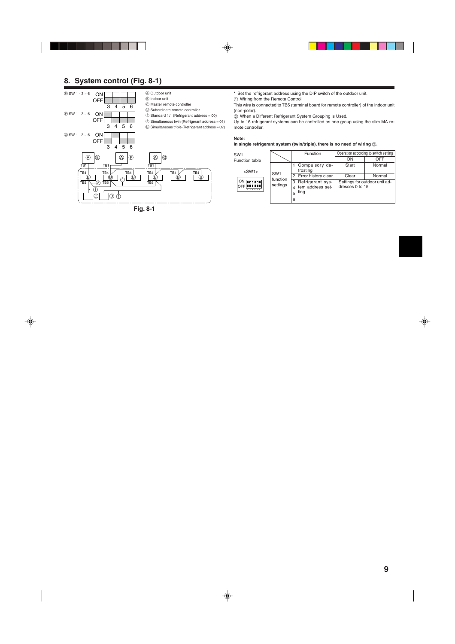# **8. System control (Fig. 8-1)**



**Fig. 8-1**

\* Set the refrigerant address using the DIP switch of the outdoor unit.

1 Wiring from the Remote Control

This wire is connected to TB5 (terminal board for remote controller) of the indoor unit (non-polar).

2 When a Different Refrigerant System Grouping is Used.

Up to 16 refrigerant systems can be controlled as one group using the slim MA remote controller.

## **Note:**

## In single refrigerant system (twin/triple), there is no need of wiring  $@$ .

| SW <sub>1</sub>                    |                             | Function                                                    | Operation according to switch setting |                               |  |  |
|------------------------------------|-----------------------------|-------------------------------------------------------------|---------------------------------------|-------------------------------|--|--|
| Function table                     |                             |                                                             | ON                                    | OFF                           |  |  |
| $<$ SW1 $>$                        |                             | Compulsory de-<br>frosting                                  | Start                                 | Normal                        |  |  |
|                                    | SW <sub>1</sub><br>function | 2 Error history clear                                       | Clear                                 | Normal                        |  |  |
| ON <b>DODDDD</b><br>OFFI<br>123456 | settings                    | Refrigerant sys-<br>3<br>tem address set-<br>ting<br>5<br>6 | dresses 0 to 15                       | Settings for outdoor unit ad- |  |  |